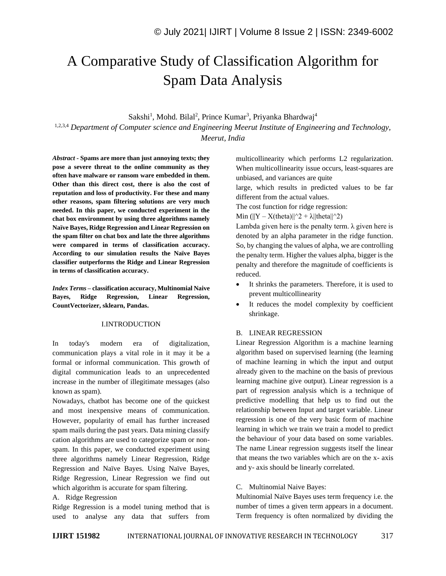# A Comparative Study of Classification Algorithm for Spam Data Analysis

Sakshi<sup>1</sup>, Mohd. Bilal<sup>2</sup>, Prince Kumar<sup>3</sup>, Priyanka Bhardwaj<sup>4</sup>

1,2,3,4 *Department of Computer science and Engineering Meerut Institute of Engineering and Technology, Meerut, India*

*Abstract -* **Spams are more than just annoying texts; they pose a severe threat to the online community as they often have malware or ransom ware embedded in them. Other than this direct cost, there is also the cost of reputation and loss of productivity. For these and many other reasons, spam filtering solutions are very much needed. In this paper, we conducted experiment in the chat box environment by using three algorithms namely Naïve Bayes, Ridge Regression and Linear Regression on the spam filter on chat box and late the three algorithms were compared in terms of classification accuracy. According to our simulation results the Naïve Bayes classifier outperforms the Ridge and Linear Regression in terms of classification accuracy.**

*Index Terms –* **classification accuracy, Multinomial Naive Bayes, Ridge Regression, Linear Regression, CountVectorizer, sklearn, Pandas.**

## I.INTRODUCTION

In today's modern era of digitalization, communication plays a vital role in it may it be a formal or informal communication. This growth of digital communication leads to an unprecedented increase in the number of illegitimate messages (also known as spam).

Nowadays, chatbot has become one of the quickest and most inexpensive means of communication. However, popularity of email has further increased spam mails during the past years. Data mining classify cation algorithms are used to categorize spam or nonspam. In this paper, we conducted experiment using three algorithms namely Linear Regression, Ridge Regression and Naïve Bayes. Using Naïve Bayes, Ridge Regression, Linear Regression we find out which algorithm is accurate for spam filtering.

A. Ridge Regression

Ridge Regression is a model tuning method that is used to analyse any data that suffers from multicollinearity which performs L2 regularization. When multicollinearity issue occurs, least-squares are unbiased, and variances are quite

large, which results in predicted values to be far different from the actual values.

The cost function for ridge regression:

Min  $(||Y - X(theta)||^2 + \lambda ||theta||^2)$ 

Lambda given here is the penalty term.  $\lambda$  given here is denoted by an alpha parameter in the ridge function. So, by changing the values of alpha, we are controlling the penalty term. Higher the values alpha, bigger is the penalty and therefore the magnitude of coefficients is reduced.

- It shrinks the parameters. Therefore, it is used to prevent multicollinearity
- It reduces the model complexity by coefficient shrinkage.

## B. LINEAR REGRESSION

Linear Regression Algorithm is a machine learning algorithm based on supervised learning (the learning of machine learning in which the input and output already given to the machine on the basis of previous learning machine give output). Linear regression is a part of regression analysis which is a technique of predictive modelling that help us to find out the relationship between Input and target variable. Linear regression is one of the very basic form of machine learning in which we train we train a model to predict the behaviour of your data based on some variables. The name Linear regression suggests itself the linear that means the two variables which are on the x- axis and y- axis should be linearly correlated.

## C. Multinomial Naive Bayes:

Multinomial Naïve Bayes uses term frequency i.e. the number of times a given term appears in a document. Term frequency is often normalized by dividing the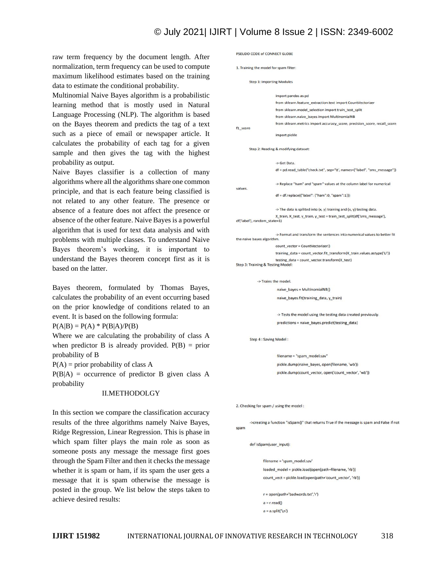## © July 2021| IJIRT | Volume 8 Issue 2 | ISSN: 2349-6002

raw term frequency by the document length. After normalization, term frequency can be used to compute maximum likelihood estimates based on the training data to estimate the conditional probability.

Multinomial Naive Bayes algorithm is a probabilistic learning method that is mostly used in Natural Language Processing (NLP). The algorithm is based on the Bayes theorem and predicts the tag of a text such as a piece of email or newspaper article. It calculates the probability of each tag for a given sample and then gives the tag with the highest probability as output.

Naive Bayes classifier is a collection of many algorithms where all the algorithms share one common principle, and that is each feature being classified is not related to any other feature. The presence or absence of a feature does not affect the presence or absence of the other feature. Naive Bayes is a powerful algorithm that is used for text data analysis and with problems with multiple classes. To understand Naive Bayes theorem's working, it is important to understand the Bayes theorem concept first as it is based on the latter.

Bayes theorem, formulated by Thomas Bayes, calculates the probability of an event occurring based on the prior knowledge of conditions related to an event. It is based on the following formula:

 $P(A|B) = P(A) * P(B|A)/P(B)$ 

Where we are calculating the probability of class A when predictor B is already provided.  $P(B) = prior$ probability of B

 $P(A)$  = prior probability of class A

 $P(B|A)$  = occurrence of predictor B given class A probability

#### II.METHODOLGY

In this section we compare the classification accuracy results of the three algorithms namely Naive Bayes, Ridge Regression, Linear Regression. This is phase in which spam filter plays the main role as soon as someone posts any message the message first goes through the Spam Filter and then it checks the message whether it is spam or ham, if its spam the user gets a message that it is spam otherwise the message is posted in the group. We list below the steps taken to achieve desired results:

```
PSEUDO CODE of CONNECT GLOBE
1. Training the model for spam filter:
       Step 1: Importing Modules
                       import pandas as pd
                       from sklearn feature extraction text import CountVectorizer
                       from sklearn.model_selection import train_test_split
                       from sklearn.naive_bayes import MultinomialNB
                       from sklearn.metrics import accuracy score, precision score, recall score,
f1_score
                       import pickle
       Step 2: Reading & modifying dataset:
                       -> Get Data
                       df = pd.read_table("check.txt", sep="\t', names=["label", "sms_message"])
                       -> Replace "ham" and "spam" values at the column label for numerical
values.
                       df = df.replace({"label": {"ham":0, "spam":1}})
                       -> The data is spllited into (x, y) training and (x, y) testing data
                       X_train, X_test, y_train, y_test = train_test_split(df['sms_message'],
df['label'], random_state=1)
                       -> Format and transform the sentences into numerical values to better fit
the naive bayes algorithm.
                       count_vector = CountVectorizer()
                       training_data = count_vector.fit_transform(X_train.values.astype('U'))
                       testing data = count vector.trainsform(X test)Step 3: Training & Testing Model:
            -> Trains the model.
                        naive_bayes = MultinomialNB()
                        naive_bayes.fit(training_data, y_train)
                        -> Tests the model using the testing data created previously.
                        predictions = naive_bayes.predict(testing_data)
       Step 4 : Saving Model :
```
filename = "spam\_model.sav" pickle.dump(naive\_bayes, open(filename, 'wb')) pickle.dump(count\_vector, open('count\_vector', 'wb'))

2. Checking for spam / using the model:

->creating a function "isSpam()" that returns True if the message is spam and False if not spam

def isSpam(user\_input):

filename = 'spam\_model.sav' loaded\_model = pickle.load(open(path+filename, 'rb')) count\_vect = pickle.load(open(path+'count\_vector', 'rb'))

r = open(path+'badwords.txt','r')  $a = r.read()$  $a = a.split('\\n')$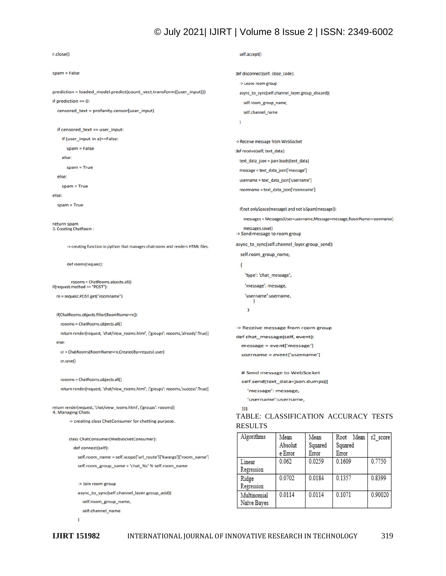## © July 2021| IJIRT | Volume 8 Issue 2 | ISSN: 2349-6002

```
r.close()
                                                                                          self.accept()
s<sub>p</sub> = Falsedef disconnect(self, close_code):
                                                                                          -> Leave room group
prediction = loaded_model.predict(count_vect.transform([user_input]))
                                                                                          async_to_sync(self.channel_layer.group_discard)(
if prediction == 0:
                                                                                            self.room group name.
  censored_text = profanity.censor(user_input)
                                                                                            self.channel_name
                                                                                          \lambdaif censored_text == user_input:
    if (user_input in a)==False:
                                                                                        -> Receive message from WebSocket
       spam = Falsedef receive(self, text_data):
    else:
                                                                                          text_data_json = json.loads(text_data)
       spam = Truemessage = text_data_json['message']
  else:
                                                                                          username = text_data_json['username']
    spam = Trueroomname = text_data_json['roomname']
else:
  spam = True
                                                                                          if(not onlySpace(message) and not isSpam(message)):
                                                                                            messages = Messages(User=username, Message=message, RoomName=roomname)
return spam
3. Creating ChatRoom:
                                                                                            messages.save()
                                                                                        -> Send message to room group
                                                                                        async_to_sync(self.channel_layer.group_send)(
       -> creating function in python that manages chatrooms and renders HTML files...
                                                                                          self.room_group_name,
       def rooms(request):
                                                                                          \overline{\mathbf{S}}'type': 'chat_message',
roooms = ChatRooms.objects.all()<br>if(request.method == "POST"):
                                                                                             'message': message,
                                                                                             'username':username,
  rn = request.POST.get("roomname")
                                                                                                ł
                                                                                             \lambdaif(ChatRooms.objects.filter(RoomName=rn)):
   roooms = ChatRooms.objects.all()
                                                                                        -> Receive message from room group
   return render(request, 'chat/view_rooms.html', {'groups': roooms,'already':True})
                                                                                        def chat_message(self, event):
  else:
                                                                                           message = event['message']
   cr = ChatRooms(RoomName=rn,CreatedBy=request.user)
                                                                                           username = event['username']
   cr.save()
                                                                                           # Send message to WebSocket
   roooms = ChatRooms.objects.all()
                                                                                           self.send(text_data=json.dumps({
   return render(request, 'chat/view_rooms.html', {'groups': roooms,'success':True})
                                                                                              'message': message.
                                                                                              'username':username,
return render(request, 'chat/view_rooms.html', {'groups': roooms})
                                                                                           \mathbf{m}4. Managing Chats
                                                                                        TABLE: CLASSIFICATION ACCURACY TESTS 
        -> creating class ChatConsumer for chatting purpose.
                                                                                        RESULTSAlgorithms
                                                                                                                                        Root Mean
                                                                                                             Mean
                                                                                                                           Mean
                                                                                                                                                        r2 score
        class ChatConsumer(WebsocketConsumer):
                                                                                                             Absolut
                                                                                                                            Squared
                                                                                                                                        Squared
          def connect(self):
                                                                                                             e Error
                                                                                                                           Error
                                                                                                                                        Error
            self.room_name = self.scope['url_route']['kwargs']['room_name']
                                                                                                             0.0620.0259
                                                                                                                                        0.1609
                                                                                                                                                         0.7750
                                                                                          Linear
            self.room_group_name = 'chat_%s' % self.room_name
                                                                                          Regression
                                                                                                             0.0702
                                                                                                                           0.0184
                                                                                                                                        0.1357
                                                                                                                                                         0.8399
                                                                                          Ridge
            -> Join room group
                                                                                          Regression
            async_to_sync(self.channel_layer.group_add)(
                                                                                                                                        0.1071
                                                                                                                                                         0.90020
                                                                                          Multinomial
                                                                                                             0.0114
                                                                                                                           0.0114
              self.room_group_name,
                                                                                          Naïve Bayes
              self.channel_name
            \lambda
```